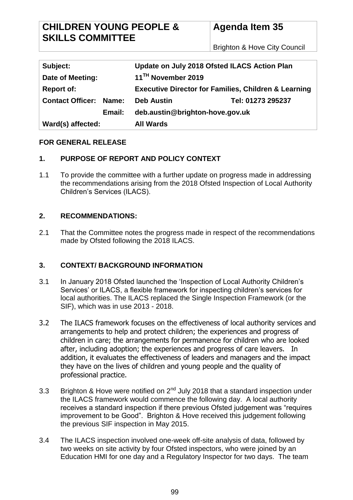Brighton & Hove City Council

| Subject:                         | Update on July 2018 Ofsted ILACS Action Plan                    |                   |
|----------------------------------|-----------------------------------------------------------------|-------------------|
| Date of Meeting:                 | 11 <sup>TH</sup> November 2019                                  |                   |
| <b>Report of:</b>                | <b>Executive Director for Families, Children &amp; Learning</b> |                   |
| <b>Contact Officer:</b><br>Name: | <b>Deb Austin</b>                                               | Tel: 01273 295237 |
| Email:                           | deb.austin@brighton-hove.gov.uk                                 |                   |
| Ward(s) affected:                | <b>All Wards</b>                                                |                   |

### **FOR GENERAL RELEASE**

### **1. PURPOSE OF REPORT AND POLICY CONTEXT**

1.1 To provide the committee with a further update on progress made in addressing the recommendations arising from the 2018 Ofsted Inspection of Local Authority Children's Services (ILACS).

## **2. RECOMMENDATIONS:**

2.1 That the Committee notes the progress made in respect of the recommendations made by Ofsted following the 2018 ILACS.

### **3. CONTEXT/ BACKGROUND INFORMATION**

- 3.1 In January 2018 Ofsted launched the 'Inspection of Local Authority Children's Services' or ILACS, a flexible framework for inspecting children's services for local authorities. The ILACS replaced the Single Inspection Framework (or the SIF), which was in use 2013 - 2018.
- 3.2 The ILACS framework focuses on the effectiveness of local authority services and arrangements to help and protect children; the experiences and progress of children in care; the arrangements for permanence for children who are looked after, including adoption; the experiences and progress of care leavers. In addition, it evaluates the effectiveness of leaders and managers and the impact they have on the lives of children and young people and the quality of professional practice.
- 3.3 Brighton & Hove were notified on  $2^{nd}$  July 2018 that a standard inspection under the ILACS framework would commence the following day. A local authority receives a standard inspection if there previous Ofsted judgement was "requires improvement to be Good". Brighton & Hove received this judgement following the previous SIF inspection in May 2015.
- 3.4 The ILACS inspection involved one-week off-site analysis of data, followed by two weeks on site activity by four Ofsted inspectors, who were joined by an Education HMI for one day and a Regulatory Inspector for two days. The team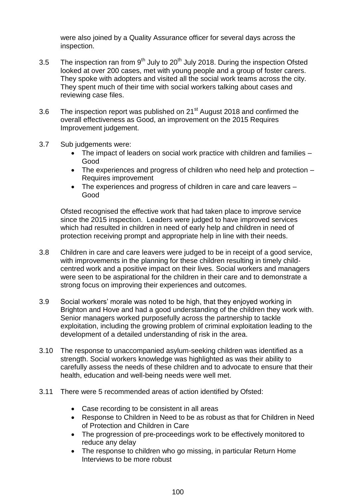were also joined by a Quality Assurance officer for several days across the inspection.

- 3.5 The inspection ran from  $9<sup>th</sup>$  July to 20<sup>th</sup> July 2018. During the inspection Ofsted looked at over 200 cases, met with young people and a group of foster carers. They spoke with adopters and visited all the social work teams across the city. They spent much of their time with social workers talking about cases and reviewing case files.
- 3.6 The inspection report was published on 21<sup>st</sup> August 2018 and confirmed the overall effectiveness as Good, an improvement on the 2015 Requires Improvement judgement.
- 3.7 Sub judgements were:
	- The impact of leaders on social work practice with children and families Good
	- The experiences and progress of children who need help and protection Requires improvement
	- The experiences and progress of children in care and care leavers Good

Ofsted recognised the effective work that had taken place to improve service since the 2015 inspection. Leaders were judged to have improved services which had resulted in children in need of early help and children in need of protection receiving prompt and appropriate help in line with their needs.

- 3.8 Children in care and care leavers were judged to be in receipt of a good service, with improvements in the planning for these children resulting in timely childcentred work and a positive impact on their lives. Social workers and managers were seen to be aspirational for the children in their care and to demonstrate a strong focus on improving their experiences and outcomes.
- 3.9 Social workers' morale was noted to be high, that they enjoyed working in Brighton and Hove and had a good understanding of the children they work with. Senior managers worked purposefully across the partnership to tackle exploitation, including the growing problem of criminal exploitation leading to the development of a detailed understanding of risk in the area.
- 3.10 The response to unaccompanied asylum-seeking children was identified as a strength. Social workers knowledge was highlighted as was their ability to carefully assess the needs of these children and to advocate to ensure that their health, education and well-being needs were well met.
- 3.11 There were 5 recommended areas of action identified by Ofsted:
	- Case recording to be consistent in all areas
	- Response to Children in Need to be as robust as that for Children in Need of Protection and Children in Care
	- The progression of pre-proceedings work to be effectively monitored to reduce any delay
	- The response to children who go missing, in particular Return Home Interviews to be more robust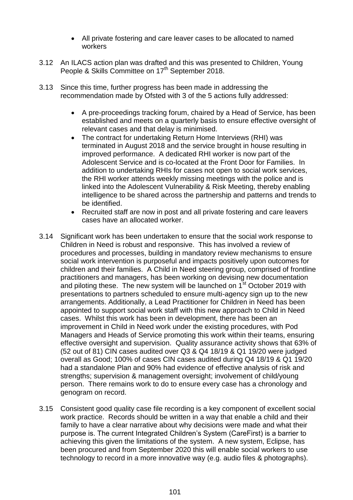- All private fostering and care leaver cases to be allocated to named workers
- 3.12 An ILACS action plan was drafted and this was presented to Children, Young People & Skills Committee on 17<sup>th</sup> September 2018.
- 3.13 Since this time, further progress has been made in addressing the recommendation made by Ofsted with 3 of the 5 actions fully addressed:
	- A pre-proceedings tracking forum, chaired by a Head of Service, has been established and meets on a quarterly basis to ensure effective oversight of relevant cases and that delay is minimised.
	- The contract for undertaking Return Home Interviews (RHI) was terminated in August 2018 and the service brought in house resulting in improved performance. A dedicated RHI worker is now part of the Adolescent Service and is co-located at the Front Door for Families. In addition to undertaking RHIs for cases not open to social work services, the RHI worker attends weekly missing meetings with the police and is linked into the Adolescent Vulnerability & Risk Meeting, thereby enabling intelligence to be shared across the partnership and patterns and trends to be identified.
	- Recruited staff are now in post and all private fostering and care leavers cases have an allocated worker.
- 3.14 Significant work has been undertaken to ensure that the social work response to Children in Need is robust and responsive. This has involved a review of procedures and processes, building in mandatory review mechanisms to ensure social work intervention is purposeful and impacts positively upon outcomes for children and their families. A Child in Need steering group, comprised of frontline practitioners and managers, has been working on devising new documentation and piloting these. The new system will be launched on  $1<sup>st</sup>$  October 2019 with presentations to partners scheduled to ensure multi-agency sign up to the new arrangements. Additionally, a Lead Practitioner for Children in Need has been appointed to support social work staff with this new approach to Child in Need cases. Whilst this work has been in development, there has been an improvement in Child in Need work under the existing procedures, with Pod Managers and Heads of Service promoting this work within their teams, ensuring effective oversight and supervision. Quality assurance activity shows that 63% of (52 out of 81) CIN cases audited over Q3 & Q4 18/19 & Q1 19/20 were judged overall as Good; 100% of cases CIN cases audited during Q4 18/19 & Q1 19/20 had a standalone Plan and 90% had evidence of effective analysis of risk and strengths; supervision & management oversight; involvement of child/young person. There remains work to do to ensure every case has a chronology and genogram on record.
- 3.15 Consistent good quality case file recording is a key component of excellent social work practice. Records should be written in a way that enable a child and their family to have a clear narrative about why decisions were made and what their purpose is. The current Integrated Children's System (CareFirst) is a barrier to achieving this given the limitations of the system. A new system, Eclipse, has been procured and from September 2020 this will enable social workers to use technology to record in a more innovative way (e.g. audio files & photographs).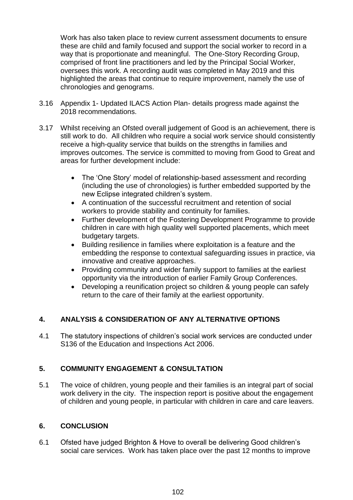Work has also taken place to review current assessment documents to ensure these are child and family focused and support the social worker to record in a way that is proportionate and meaningful. The One-Story Recording Group, comprised of front line practitioners and led by the Principal Social Worker, oversees this work. A recording audit was completed in May 2019 and this highlighted the areas that continue to require improvement, namely the use of chronologies and genograms.

- 3.16 Appendix 1- Updated ILACS Action Plan- details progress made against the 2018 recommendations.
- 3.17 Whilst receiving an Ofsted overall judgement of Good is an achievement, there is still work to do. All children who require a social work service should consistently receive a high-quality service that builds on the strengths in families and improves outcomes. The service is committed to moving from Good to Great and areas for further development include:
	- The 'One Story' model of relationship-based assessment and recording (including the use of chronologies) is further embedded supported by the new Eclipse integrated children's system.
	- A continuation of the successful recruitment and retention of social workers to provide stability and continuity for families.
	- Further development of the Fostering Development Programme to provide children in care with high quality well supported placements, which meet budgetary targets.
	- Building resilience in families where exploitation is a feature and the embedding the response to contextual safeguarding issues in practice, via innovative and creative approaches.
	- Providing community and wider family support to families at the earliest opportunity via the introduction of earlier Family Group Conferences.
	- Developing a reunification project so children & young people can safely return to the care of their family at the earliest opportunity.

## **4. ANALYSIS & CONSIDERATION OF ANY ALTERNATIVE OPTIONS**

4.1 The statutory inspections of children's social work services are conducted under S136 of the Education and Inspections Act 2006.

## **5. COMMUNITY ENGAGEMENT & CONSULTATION**

5.1 The voice of children, young people and their families is an integral part of social work delivery in the city. The inspection report is positive about the engagement of children and young people, in particular with children in care and care leavers.

### **6. CONCLUSION**

6.1 Ofsted have judged Brighton & Hove to overall be delivering Good children's social care services. Work has taken place over the past 12 months to improve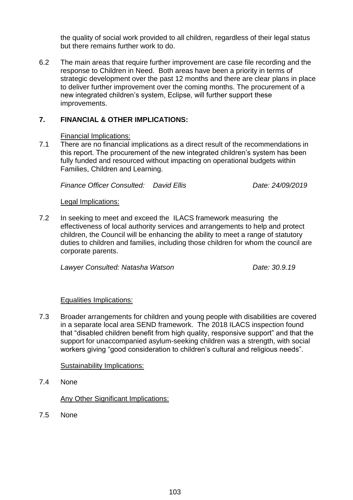the quality of social work provided to all children, regardless of their legal status but there remains further work to do.

6.2 The main areas that require further improvement are case file recording and the response to Children in Need. Both areas have been a priority in terms of strategic development over the past 12 months and there are clear plans in place to deliver further improvement over the coming months. The procurement of a new integrated children's system, Eclipse, will further support these improvements.

## **7. FINANCIAL & OTHER IMPLICATIONS:**

#### Financial Implications:

7.1 There are no financial implications as a direct result of the recommendations in this report. The procurement of the new integrated children's system has been fully funded and resourced without impacting on operational budgets within Families, Children and Learning.

*Finance Officer Consulted: David Ellis Date: 24/09/2019*

#### Legal Implications:

7.2 In seeking to meet and exceed the ILACS framework measuring the effectiveness of local authority services and arrangements to help and protect children, the Council will be enhancing the ability to meet a range of statutory duties to children and families, including those children for whom the council are corporate parents.

*Lawyer Consulted: Natasha Watson Date: 30.9.19* 

### Equalities Implications:

7.3 Broader arrangements for children and young people with disabilities are covered in a separate local area SEND framework. The 2018 ILACS inspection found that "disabled children benefit from high quality, responsive support" and that the support for unaccompanied asylum-seeking children was a strength, with social workers giving "good consideration to children's cultural and religious needs".

#### Sustainability Implications:

7.4 None

Any Other Significant Implications:

7.5 None